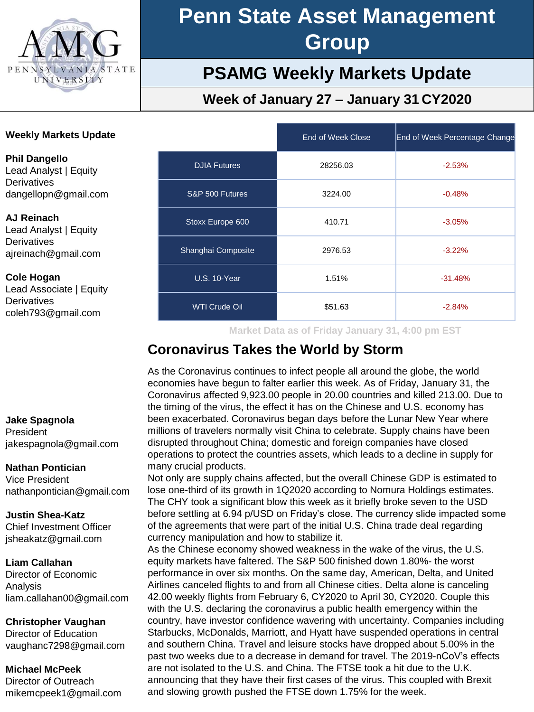

## **PSAMG Weekly Markets Update**

### **Week of January 27 – January 31 CY2020**

### **Weekly Markets Update**

**Phil Dangello** Lead Analyst | Equity **Derivatives** dangellopn@gmail.com

#### **AJ Reinach**

Lead Analyst | Equity **Derivatives** ajreinach@gmail.com

#### **Cole Hogan**

Lead Associate | Equity **Derivatives** coleh793@gmail.com

#### **Jake Spagnola**

President jakespagnola@gmail.com

#### **Nathan Pontician**

Vice President nathanpontician@gmail.com

### **Justin Shea-Katz**

Chief Investment Officer jsheakatz@gmail.com

#### **Liam Callahan**

Director of Economic Analysis liam.callahan00@gmail.com

### **Christopher Vaughan**

Director of Education vaughanc7298@gmail.com

#### **Michael McPeek**

Director of Outreach mikemcpeek1@gmail.com

|                      | End of Week Close | End of Week Percentage Change |
|----------------------|-------------------|-------------------------------|
| <b>DJIA Futures</b>  | 28256.03          | $-2.53%$                      |
| S&P 500 Futures      | 3224.00           | $-0.48%$                      |
| Stoxx Europe 600     | 410.71            | $-3.05%$                      |
| Shanghai Composite   | 2976.53           | $-3.22%$                      |
| <b>U.S. 10-Year</b>  | 1.51%             | $-31.48%$                     |
| <b>WTI Crude Oil</b> | \$51.63           | $-2.84%$                      |

**Market Data as of Friday January 31, 4:00 pm EST**

### **Coronavirus Takes the World by Storm**

As the Coronavirus continues to infect people all around the globe, the world economies have begun to falter earlier this week. As of Friday, January 31, the Coronavirus affected 9,923.00 people in 20.00 countries and killed 213.00. Due to the timing of the virus, the effect it has on the Chinese and U.S. economy has been exacerbated. Coronavirus began days before the Lunar New Year where millions of travelers normally visit China to celebrate. Supply chains have been disrupted throughout China; domestic and foreign companies have closed operations to protect the countries assets, which leads to a decline in supply for many crucial products.

Not only are supply chains affected, but the overall Chinese GDP is estimated to lose one-third of its growth in 1Q2020 according to Nomura Holdings estimates. The CHY took a significant blow this week as it briefly broke seven to the USD before settling at 6.94 p/USD on Friday's close. The currency slide impacted some of the agreements that were part of the initial U.S. China trade deal regarding currency manipulation and how to stabilize it.

As the Chinese economy showed weakness in the wake of the virus, the U.S. equity markets have faltered. The S&P 500 finished down 1.80%- the worst performance in over six months. On the same day, American, Delta, and United Airlines canceled flights to and from all Chinese cities. Delta alone is canceling 42.00 weekly flights from February 6, CY2020 to April 30, CY2020. Couple this with the U.S. declaring the coronavirus a public health emergency within the country, have investor confidence wavering with uncertainty. Companies including Starbucks, McDonalds, Marriott, and Hyatt have suspended operations in central and southern China. Travel and leisure stocks have dropped about 5.00% in the past two weeks due to a decrease in demand for travel. The 2019-nCoV's effects are not isolated to the U.S. and China. The FTSE took a hit due to the U.K. announcing that they have their first cases of the virus. This coupled with Brexit and slowing growth pushed the FTSE down 1.75% for the week.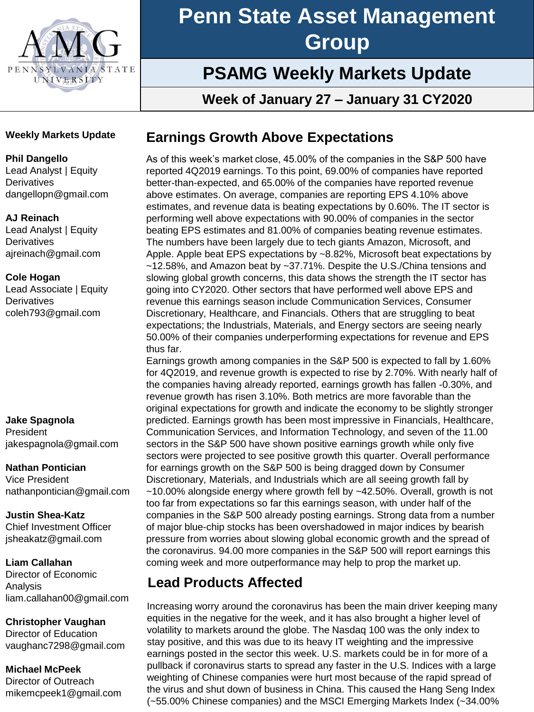

## **PSAMG Weekly Markets Update**

**Week of January 27 – January 31 CY2020**

### **Weekly Markets Update**

### **Phil Dangello**

Lead Analyst | Equity **Derivatives** dangellopn@gmail.com

### **AJ Reinach**

Lead Analyst | Equity **Derivatives** ajreinach@gmail.com

### **Cole Hogan**

Lead Associate | Equity **Derivatives** coleh793@gmail.com

#### **Jake Spagnola**

President jakespagnola@gmail.com

#### **Nathan Pontician**

Vice President nathanpontician@gmail.com

### **Justin Shea-Katz**

Chief Investment Officer jsheakatz@gmail.com

### **Liam Callahan**

Director of Economic Analysis liam.callahan00@gmail.com

### **Christopher Vaughan**

Director of Education vaughanc7298@gmail.com

### **Michael McPeek**

Director of Outreach mikemcpeek1@gmail.com

### **Earnings Growth Above Expectations**

As of this week's market close, 45.00% of the companies in the S&P 500 have reported 4Q2019 earnings. To this point, 69.00% of companies have reported better-than-expected, and 65.00% of the companies have reported revenue above estimates. On average, companies are reporting EPS 4.10% above estimates, and revenue data is beating expectations by 0.60%. The IT sector is performing well above expectations with 90.00% of companies in the sector beating EPS estimates and 81.00% of companies beating revenue estimates. The numbers have been largely due to tech giants Amazon, Microsoft, and Apple. Apple beat EPS expectations by ~8.82%, Microsoft beat expectations by ~12.58%, and Amazon beat by ~37.71%. Despite the U.S./China tensions and slowing global growth concerns, this data shows the strength the IT sector has going into CY2020. Other sectors that have performed well above EPS and revenue this earnings season include Communication Services, Consumer Discretionary, Healthcare, and Financials. Others that are struggling to beat expectations; the Industrials, Materials, and Energy sectors are seeing nearly 50.00% of their companies underperforming expectations for revenue and EPS thus far.

Earnings growth among companies in the S&P 500 is expected to fall by 1.60% for 4Q2019, and revenue growth is expected to rise by 2.70%. With nearly half of the companies having already reported, earnings growth has fallen -0.30%, and revenue growth has risen 3.10%. Both metrics are more favorable than the original expectations for growth and indicate the economy to be slightly stronger predicted. Earnings growth has been most impressive in Financials, Healthcare, Communication Services, and Information Technology, and seven of the 11.00 sectors in the S&P 500 have shown positive earnings growth while only five sectors were projected to see positive growth this quarter. Overall performance for earnings growth on the S&P 500 is being dragged down by Consumer Discretionary, Materials, and Industrials which are all seeing growth fall by  $~10.00\%$  alongside energy where growth fell by  $~12.50\%$ . Overall, growth is not too far from expectations so far this earnings season, with under half of the companies in the S&P 500 already posting earnings. Strong data from a number of major blue-chip stocks has been overshadowed in major indices by bearish pressure from worries about slowing global economic growth and the spread of the coronavirus. 94.00 more companies in the S&P 500 will report earnings this coming week and more outperformance may help to prop the market up.

### **Lead Products Affected**

Increasing worry around the coronavirus has been the main driver keeping many equities in the negative for the week, and it has also brought a higher level of volatility to markets around the globe. The Nasdaq 100 was the only index to stay positive, and this was due to its heavy IT weighting and the impressive earnings posted in the sector this week. U.S. markets could be in for more of a pullback if coronavirus starts to spread any faster in the U.S. Indices with a large weighting of Chinese companies were hurt most because of the rapid spread of the virus and shut down of business in China. This caused the Hang Seng Index (~55.00% Chinese companies) and the MSCI Emerging Markets Index (~34.00%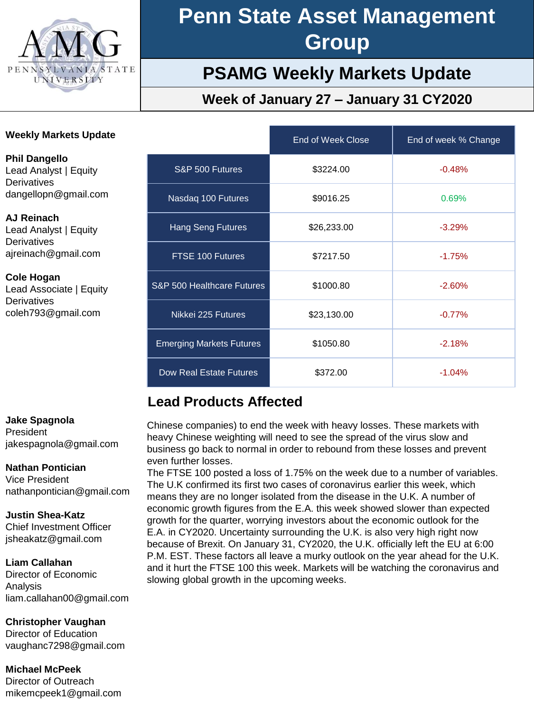

## **PSAMG Weekly Markets Update**

### **Week of January 27 – January 31 CY2020**

| <b>Weekly Markets Update</b>                                                                |                                 | End of Week Close | End of week % Change |  |
|---------------------------------------------------------------------------------------------|---------------------------------|-------------------|----------------------|--|
| <b>Phil Dangello</b><br>Lead Analyst   Equity<br><b>Derivatives</b><br>dangellopn@gmail.com | S&P 500 Futures                 | \$3224.00         | $-0.48%$             |  |
|                                                                                             | Nasdaq 100 Futures              | \$9016.25         | 0.69%                |  |
| AJ Reinach<br>Lead Analyst   Equity<br>Derivatives<br>ajreinach@gmail.com                   | <b>Hang Seng Futures</b>        | \$26,233.00       | $-3.29%$             |  |
|                                                                                             | FTSE 100 Futures                | \$7217.50         | $-1.75%$             |  |
| <b>Cole Hogan</b><br>Lead Associate   Equity<br>Derivatives<br>coleh793@gmail.com           | S&P 500 Healthcare Futures      | \$1000.80         | $-2.60%$             |  |
|                                                                                             | Nikkei 225 Futures              | \$23,130.00       | $-0.77%$             |  |
|                                                                                             | <b>Emerging Markets Futures</b> | \$1050.80         | $-2.18%$             |  |
|                                                                                             | Dow Real Estate Futures         | \$372.00          | $-1.04%$             |  |

### **Lead Products Affected**

Chinese companies) to end the week with heavy losses. These markets with heavy Chinese weighting will need to see the spread of the virus slow and business go back to normal in order to rebound from these losses and prevent even further losses.

The FTSE 100 posted a loss of 1.75% on the week due to a number of variables. The U.K confirmed its first two cases of coronavirus earlier this week, which means they are no longer isolated from the disease in the U.K. A number of economic growth figures from the E.A. this week showed slower than expected growth for the quarter, worrying investors about the economic outlook for the E.A. in CY2020. Uncertainty surrounding the U.K. is also very high right now because of Brexit. On January 31, CY2020, the U.K. officially left the EU at 6:00 P.M. EST. These factors all leave a murky outlook on the year ahead for the U.K. and it hurt the FTSE 100 this week. Markets will be watching the coronavirus and slowing global growth in the upcoming weeks.

#### **Jake Spagnola**

President jakespagnola@gmail.com

### **Nathan Pontician**

Vice President nathanpontician@gmail.com

### **Justin Shea-Katz**

Chief Investment Officer jsheakatz@gmail.com

### **Liam Callahan**

Director of Economic Analysis liam.callahan00@gmail.com

**Christopher Vaughan**

Director of Education vaughanc7298@gmail.com

**Michael McPeek** Director of Outreach mikemcpeek1@gmail.com